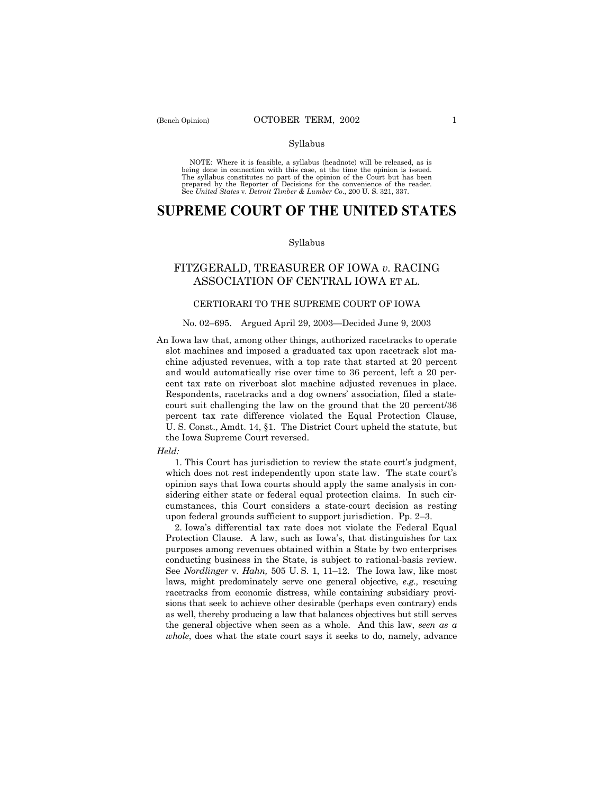## Syllabus

NOTE: Where it is feasible, a syllabus (headnote) will be released, as is being done in connection with this case, at the time the opinion is issued. The syllabus constitutes no part of the opinion of the Court but has been<br>prepared by the Reporter of Decisions for the convenience of the reader.<br>See United States v. Detroit Timber & Lumber Co., 200 U. S. 321, 337.

# **SUPREME COURT OF THE UNITED STATES**

### Syllabus

## FITZGERALD, TREASURER OF IOWA *v.* RACING ASSOCIATION OF CENTRAL IOWA ET AL.

## CERTIORARI TO THE SUPREME COURT OF IOWA

#### No. 02–695. Argued April 29, 2003–Decided June 9, 2003

An Iowa law that, among other things, authorized racetracks to operate slot machines and imposed a graduated tax upon racetrack slot machine adjusted revenues, with a top rate that started at 20 percent and would automatically rise over time to 36 percent, left a 20 percent tax rate on riverboat slot machine adjusted revenues in place. Respondents, racetracks and a dog owners' association, filed a statecourt suit challenging the law on the ground that the 20 percent/36 percent tax rate difference violated the Equal Protection Clause, U. S. Const., Amdt. 14, ß1. The District Court upheld the statute, but the Iowa Supreme Court reversed.

#### *Held:*

1. This Court has jurisdiction to review the state court's judgment, which does not rest independently upon state law. The state court's opinion says that Iowa courts should apply the same analysis in considering either state or federal equal protection claims. In such circumstances, this Court considers a state-court decision as resting upon federal grounds sufficient to support jurisdiction. Pp.  $2-3$ .

2. Iowaís differential tax rate does not violate the Federal Equal Protection Clause. A law, such as Iowa's, that distinguishes for tax purposes among revenues obtained within a State by two enterprises conducting business in the State, is subject to rational-basis review. See *Nordlinger* v. *Hahn*, 505 U.S. 1, 11–12. The Iowa law, like most laws, might predominately serve one general objective, *e.g.,* rescuing racetracks from economic distress, while containing subsidiary provisions that seek to achieve other desirable (perhaps even contrary) ends as well, thereby producing a law that balances objectives but still serves the general objective when seen as a whole. And this law, *seen as a whole*, does what the state court says it seeks to do, namely, advance